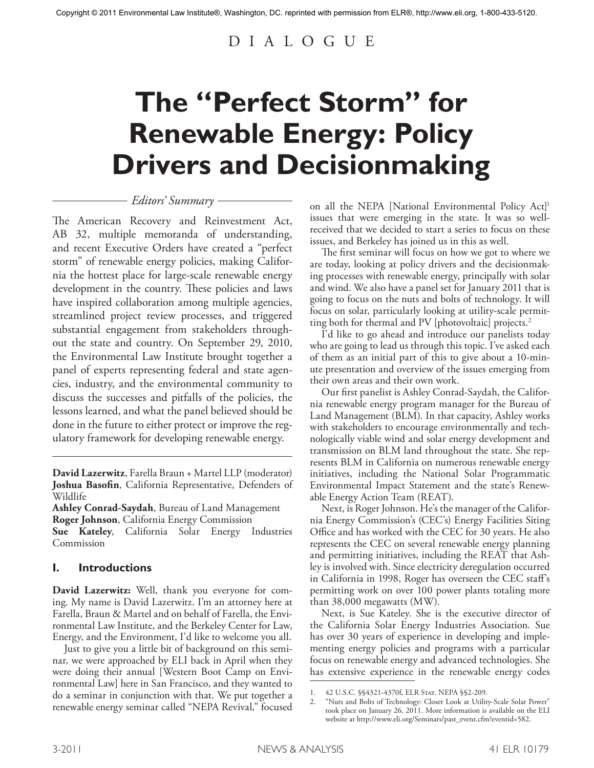# D I A L O G U E

# **The "Perfect Storm" for Renewable Energy: Policy Drivers and Decisionmaking**

# *Editors' Summary*

The American Recovery and Reinvestment Act, AB 32, multiple memoranda of understanding, and recent Executive Orders have created a "perfect storm" of renewable energy policies, making California the hottest place for large-scale renewable energy development in the country. These policies and laws have inspired collaboration among multiple agencies, streamlined project review processes, and triggered substantial engagement from stakeholders throughout the state and country. On September 29, 2010, the Environmental Law Institute brought together a panel of experts representing federal and state agencies, industry, and the environmental community to discuss the successes and pitfalls of the policies, the lessons learned, and what the panel believed should be done in the future to either protect or improve the regulatory framework for developing renewable energy.

**David Lazerwitz**, Farella Braun + Martel LLP (moderator) **Joshua Basofin**, California Representative, Defenders of Wildlife

**Ashley Conrad-Saydah**, Bureau of Land Management **Roger Johnson**, California Energy Commission

**Sue Kateley**, California Solar Energy Industries Commission

# **I. Introductions**

**David Lazerwitz:** Well, thank you everyone for coming. My name is David Lazerwitz. I'm an attorney here at Farella, Braun & Martel and on behalf of Farella, the Environmental Law Institute, and the Berkeley Center for Law, Energy, and the Environment, I'd like to welcome you all.

Just to give you a little bit of background on this seminar, we were approached by ELI back in April when they were doing their annual [Western Boot Camp on Environmental Law] here in San Francisco, and they wanted to do a seminar in conjunction with that. We put together a renewable energy seminar called "NEPA Revival," focused on all the NEPA [National Environmental Policy Act]<sup>1</sup> issues that were emerging in the state. It was so wellreceived that we decided to start a series to focus on these issues, and Berkeley has joined us in this as well.

The first seminar will focus on how we got to where we are today, looking at policy drivers and the decisionmaking processes with renewable energy, principally with solar and wind. We also have a panel set for January 2011 that is going to focus on the nuts and bolts of technology. It will focus on solar, particularly looking at utility-scale permitting both for thermal and PV [photovoltaic] projects. 2

I'd like to go ahead and introduce our panelists today who are going to lead us through this topic. I've asked each of them as an initial part of this to give about a 10-minute presentation and overview of the issues emerging from their own areas and their own work.

Our first panelist is Ashley Conrad-Saydah, the California renewable energy program manager for the Bureau of Land Management (BLM). In that capacity, Ashley works with stakeholders to encourage environmentally and technologically viable wind and solar energy development and transmission on BLM land throughout the state. She represents BLM in California on numerous renewable energy initiatives, including the National Solar Programmatic Environmental Impact Statement and the state's Renewable Energy Action Team (REAT).

Next, is Roger Johnson. He's the manager of the California Energy Commission's (CEC's) Energy Facilities Siting Office and has worked with the CEC for 30 years. He also represents the CEC on several renewable energy planning and permitting initiatives, including the REAT that Ashley is involved with. Since electricity deregulation occurred in California in 1998, Roger has overseen the CEC staff's permitting work on over 100 power plants totaling more than 38,000 megawatts (MW).

Next, is Sue Kateley. She is the executive director of the California Solar Energy Industries Association. Sue has over 30 years of experience in developing and implementing energy policies and programs with a particular focus on renewable energy and advanced technologies. She has extensive experience in the renewable energy codes

<sup>1. 42</sup> U.S.C. §§4321-4370f, ELR STAT. NEPA §§2-209.

<sup>2. &</sup>quot;Nuts and Bolts of Technology: Closer Look at Utility-Scale Solar Power" took place on January 26, 2011. More information is available on the ELI website at http://www.eli.org/Seminars/past\_event.cfm?eventid=582.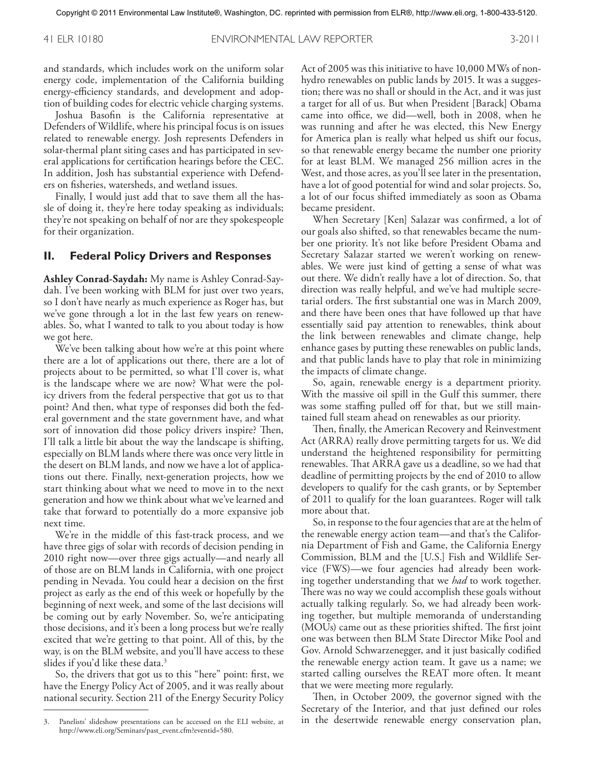and standards, which includes work on the uniform solar energy code, implementation of the California building energy-efficiency standards, and development and adoption of building codes for electric vehicle charging systems.

Joshua Basofin is the California representative at Defenders of Wildlife, where his principal focus is on issues related to renewable energy. Josh represents Defenders in solar-thermal plant siting cases and has participated in several applications for certification hearings before the CEC. In addition, Josh has substantial experience with Defenders on fisheries, watersheds, and wetland issues.

Finally, I would just add that to save them all the hassle of doing it, they're here today speaking as individuals; they're not speaking on behalf of nor are they spokespeople for their organization.

#### **II. Federal Policy Drivers and Responses**

**Ashley Conrad-Saydah:** My name is Ashley Conrad-Saydah. I've been working with BLM for just over two years, so I don't have nearly as much experience as Roger has, but we've gone through a lot in the last few years on renewables. So, what I wanted to talk to you about today is how we got here.

We've been talking about how we're at this point where there are a lot of applications out there, there are a lot of projects about to be permitted, so what I'll cover is, what is the landscape where we are now? What were the policy drivers from the federal perspective that got us to that point? And then, what type of responses did both the federal government and the state government have, and what sort of innovation did those policy drivers inspire? Then, I'll talk a little bit about the way the landscape is shifting, especially on BLM lands where there was once very little in the desert on BLM lands, and now we have a lot of applications out there. Finally, next-generation projects, how we start thinking about what we need to move in to the next generation and how we think about what we've learned and take that forward to potentially do a more expansive job next time.

We're in the middle of this fast-track process, and we have three gigs of solar with records of decision pending in 2010 right now—over three gigs actually—and nearly all of those are on BLM lands in California, with one project pending in Nevada. You could hear a decision on the first project as early as the end of this week or hopefully by the beginning of next week, and some of the last decisions will be coming out by early November. So, we're anticipating those decisions, and it's been a long process but we're really excited that we're getting to that point. All of this, by the way, is on the BLM website, and you'll have access to these slides if you'd like these data. 3

So, the drivers that got us to this "here" point: first, we have the Energy Policy Act of 2005, and it was really about national security. Section 211 of the Energy Security Policy

Act of 2005 was this initiative to have 10,000 MWs of nonhydro renewables on public lands by 2015. It was a suggestion; there was no shall or should in the Act, and it was just a target for all of us. But when President [Barack] Obama came into office, we did—well, both in 2008, when he was running and after he was elected, this New Energy for America plan is really what helped us shift our focus, so that renewable energy became the number one priority for at least BLM. We managed 256 million acres in the West, and those acres, as you'll see later in the presentation, have a lot of good potential for wind and solar projects. So, a lot of our focus shifted immediately as soon as Obama became president.

When Secretary [Ken] Salazar was confirmed, a lot of our goals also shifted, so that renewables became the number one priority. It's not like before President Obama and Secretary Salazar started we weren't working on renewables. We were just kind of getting a sense of what was out there. We didn't really have a lot of direction. So, that direction was really helpful, and we've had multiple secretarial orders. The first substantial one was in March 2009, and there have been ones that have followed up that have essentially said pay attention to renewables, think about the link between renewables and climate change, help enhance gases by putting these renewables on public lands, and that public lands have to play that role in minimizing the impacts of climate change.

So, again, renewable energy is a department priority. With the massive oil spill in the Gulf this summer, there was some staffing pulled off for that, but we still maintained full steam ahead on renewables as our priority.

Then, finally, the American Recovery and Reinvestment Act (ARRA) really drove permitting targets for us. We did understand the heightened responsibility for permitting renewables. That ARRA gave us a deadline, so we had that deadline of permitting projects by the end of 2010 to allow developers to qualify for the cash grants, or by September of 2011 to qualify for the loan guarantees. Roger will talk more about that.

So, in response to the four agencies that are at the helm of the renewable energy action team—and that's the California Department of Fish and Game, the California Energy Commission, BLM and the [U.S.] Fish and Wildlife Service (FWS)—we four agencies had already been working together understanding that we *had* to work together. There was no way we could accomplish these goals without actually talking regularly. So, we had already been working together, but multiple memoranda of understanding (MOUs) came out as these priorities shifted. The first joint one was between then BLM State Director Mike Pool and Gov. Arnold Schwarzenegger, and it just basically codified the renewable energy action team. It gave us a name; we started calling ourselves the REAT more often. It meant that we were meeting more regularly.

Then, in October 2009, the governor signed with the Secretary of the Interior, and that just defined our roles in the desertwide renewable energy conservation plan,

<sup>3.</sup> Panelists' slideshow presentations can be accessed on the ELI website, at http://www.eli.org/Seminars/past\_event.cfm?eventid=580.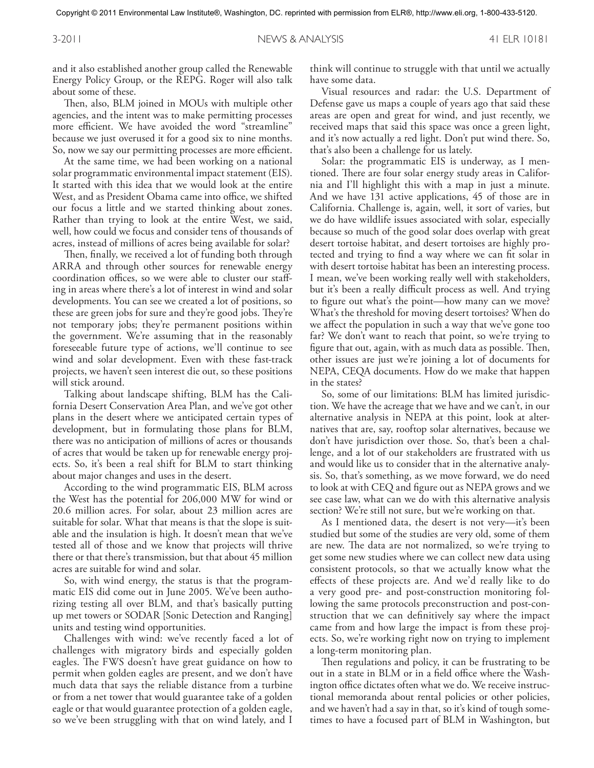and it also established another group called the Renewable Energy Policy Group, or the REPG. Roger will also talk about some of these.

Then, also, BLM joined in MOUs with multiple other agencies, and the intent was to make permitting processes more efficient. We have avoided the word "streamline" because we just overused it for a good six to nine months. So, now we say our permitting processes are more efficient.

At the same time, we had been working on a national solar programmatic environmental impact statement (EIS). It started with this idea that we would look at the entire West, and as President Obama came into office, we shifted our focus a little and we started thinking about zones. Rather than trying to look at the entire West, we said, well, how could we focus and consider tens of thousands of acres, instead of millions of acres being available for solar?

Then, finally, we received a lot of funding both through ARRA and through other sources for renewable energy coordination offices, so we were able to cluster our staffing in areas where there's a lot of interest in wind and solar developments. You can see we created a lot of positions, so these are green jobs for sure and they're good jobs. They're not temporary jobs; they're permanent positions within the government. We're assuming that in the reasonably foreseeable future type of actions, we'll continue to see wind and solar development. Even with these fast-track projects, we haven't seen interest die out, so these positions will stick around.

Talking about landscape shifting, BLM has the California Desert Conservation Area Plan, and we've got other plans in the desert where we anticipated certain types of development, but in formulating those plans for BLM, there was no anticipation of millions of acres or thousands of acres that would be taken up for renewable energy projects. So, it's been a real shift for BLM to start thinking about major changes and uses in the desert.

According to the wind programmatic EIS, BLM across the West has the potential for 206,000 MW for wind or 20.6 million acres. For solar, about 23 million acres are suitable for solar. What that means is that the slope is suitable and the insulation is high. It doesn't mean that we've tested all of those and we know that projects will thrive there or that there's transmission, but that about 45 million acres are suitable for wind and solar.

So, with wind energy, the status is that the programmatic EIS did come out in June 2005. We've been authorizing testing all over BLM, and that's basically putting up met towers or SODAR [Sonic Detection and Ranging] units and testing wind opportunities.

Challenges with wind: we've recently faced a lot of challenges with migratory birds and especially golden eagles. The FWS doesn't have great guidance on how to permit when golden eagles are present, and we don't have much data that says the reliable distance from a turbine or from a net tower that would guarantee take of a golden eagle or that would guarantee protection of a golden eagle, so we've been struggling with that on wind lately, and I

think will continue to struggle with that until we actually have some data.

Visual resources and radar: the U.S. Department of Defense gave us maps a couple of years ago that said these areas are open and great for wind, and just recently, we received maps that said this space was once a green light, and it's now actually a red light. Don't put wind there. So, that's also been a challenge for us lately.

Solar: the programmatic EIS is underway, as I mentioned. There are four solar energy study areas in California and I'll highlight this with a map in just a minute. And we have 131 active applications, 45 of those are in California. Challenge is, again, well, it sort of varies, but we do have wildlife issues associated with solar, especially because so much of the good solar does overlap with great desert tortoise habitat, and desert tortoises are highly protected and trying to find a way where we can fit solar in with desert tortoise habitat has been an interesting process. I mean, we've been working really well with stakeholders, but it's been a really difficult process as well. And trying to figure out what's the point—how many can we move? What's the threshold for moving desert tortoises? When do we affect the population in such a way that we've gone too far? We don't want to reach that point, so we're trying to figure that out, again, with as much data as possible. Then, other issues are just we're joining a lot of documents for NEPA, CEQA documents. How do we make that happen in the states?

So, some of our limitations: BLM has limited jurisdiction. We have the acreage that we have and we can't, in our alternative analysis in NEPA at this point, look at alternatives that are, say, rooftop solar alternatives, because we don't have jurisdiction over those. So, that's been a challenge, and a lot of our stakeholders are frustrated with us and would like us to consider that in the alternative analysis. So, that's something, as we move forward, we do need to look at with CEQ and figure out as NEPA grows and we see case law, what can we do with this alternative analysis section? We're still not sure, but we're working on that.

As I mentioned data, the desert is not very—it's been studied but some of the studies are very old, some of them are new. The data are not normalized, so we're trying to get some new studies where we can collect new data using consistent protocols, so that we actually know what the effects of these projects are. And we'd really like to do a very good pre- and post-construction monitoring following the same protocols preconstruction and post-construction that we can definitively say where the impact came from and how large the impact is from these projects. So, we're working right now on trying to implement a long-term monitoring plan.

Then regulations and policy, it can be frustrating to be out in a state in BLM or in a field office where the Washington office dictates often what we do. We receive instructional memoranda about rental policies or other policies, and we haven't had a say in that, so it's kind of tough sometimes to have a focused part of BLM in Washington, but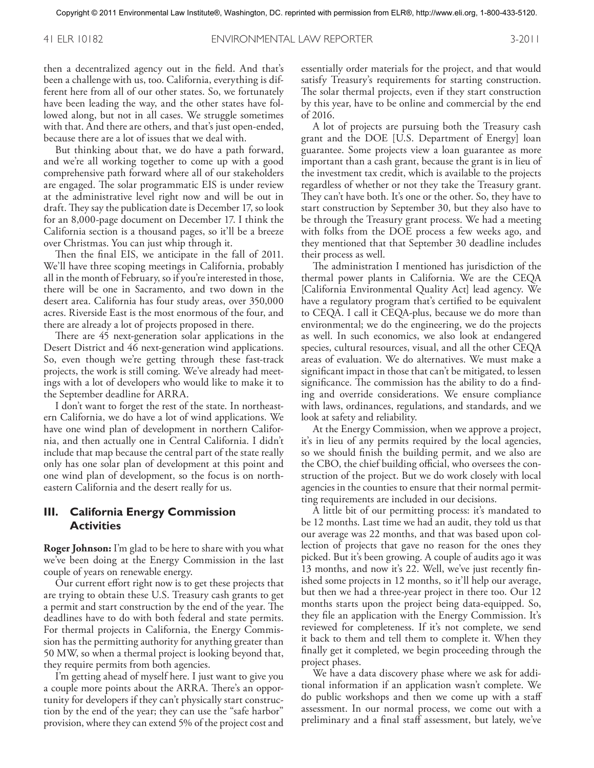then a decentralized agency out in the field. And that's been a challenge with us, too. California, everything is different here from all of our other states. So, we fortunately have been leading the way, and the other states have followed along, but not in all cases. We struggle sometimes with that. And there are others, and that's just open-ended, because there are a lot of issues that we deal with.

But thinking about that, we do have a path forward, and we're all working together to come up with a good comprehensive path forward where all of our stakeholders are engaged. The solar programmatic EIS is under review at the administrative level right now and will be out in draft. They say the publication date is December 17, so look for an 8,000-page document on December 17. I think the California section is a thousand pages, so it'll be a breeze over Christmas. You can just whip through it.

Then the final EIS, we anticipate in the fall of 2011. We'll have three scoping meetings in California, probably all in the month of February, so if you're interested in those, there will be one in Sacramento, and two down in the desert area. California has four study areas, over 350,000 acres. Riverside East is the most enormous of the four, and there are already a lot of projects proposed in there.

There are 45 next-generation solar applications in the Desert District and 46 next-generation wind applications. So, even though we're getting through these fast-track projects, the work is still coming. We've already had meetings with a lot of developers who would like to make it to the September deadline for ARRA.

I don't want to forget the rest of the state. In northeastern California, we do have a lot of wind applications. We have one wind plan of development in northern California, and then actually one in Central California. I didn't include that map because the central part of the state really only has one solar plan of development at this point and one wind plan of development, so the focus is on northeastern California and the desert really for us.

# **III. California Energy Commission Activities**

**Roger Johnson:** I'm glad to be here to share with you what we've been doing at the Energy Commission in the last couple of years on renewable energy.

Our current effort right now is to get these projects that are trying to obtain these U.S. Treasury cash grants to get a permit and start construction by the end of the year. The deadlines have to do with both federal and state permits. For thermal projects in California, the Energy Commission has the permitting authority for anything greater than 50 MW, so when a thermal project is looking beyond that, they require permits from both agencies.

I'm getting ahead of myself here. I just want to give you a couple more points about the ARRA. There's an opportunity for developers if they can't physically start construction by the end of the year; they can use the "safe harbor" provision, where they can extend 5% of the project cost and

essentially order materials for the project, and that would satisfy Treasury's requirements for starting construction. The solar thermal projects, even if they start construction by this year, have to be online and commercial by the end of 2016.

A lot of projects are pursuing both the Treasury cash grant and the DOE [U.S. Department of Energy] loan guarantee. Some projects view a loan guarantee as more important than a cash grant, because the grant is in lieu of the investment tax credit, which is available to the projects regardless of whether or not they take the Treasury grant. They can't have both. It's one or the other. So, they have to start construction by September 30, but they also have to be through the Treasury grant process. We had a meeting with folks from the DOE process a few weeks ago, and they mentioned that that September 30 deadline includes their process as well.

The administration I mentioned has jurisdiction of the thermal power plants in California. We are the CEQA [California Environmental Quality Act] lead agency. We have a regulatory program that's certified to be equivalent to CEQA. I call it CEQA-plus, because we do more than environmental; we do the engineering, we do the projects as well. In such economics, we also look at endangered species, cultural resources, visual, and all the other CEQA areas of evaluation. We do alternatives. We must make a significant impact in those that can't be mitigated, to lessen significance. The commission has the ability to do a finding and override considerations. We ensure compliance with laws, ordinances, regulations, and standards, and we look at safety and reliability.

At the Energy Commission, when we approve a project, it's in lieu of any permits required by the local agencies, so we should finish the building permit, and we also are the CBO, the chief building official, who oversees the construction of the project. But we do work closely with local agencies in the counties to ensure that their normal permitting requirements are included in our decisions.

A little bit of our permitting process: it's mandated to be 12 months. Last time we had an audit, they told us that our average was 22 months, and that was based upon collection of projects that gave no reason for the ones they picked. But it's been growing. A couple of audits ago it was 13 months, and now it's 22. Well, we've just recently finished some projects in 12 months, so it'll help our average, but then we had a three-year project in there too. Our 12 months starts upon the project being data-equipped. So, they file an application with the Energy Commission. It's reviewed for completeness. If it's not complete, we send it back to them and tell them to complete it. When they finally get it completed, we begin proceeding through the project phases.

We have a data discovery phase where we ask for additional information if an application wasn't complete. We do public workshops and then we come up with a staff assessment. In our normal process, we come out with a preliminary and a final staff assessment, but lately, we've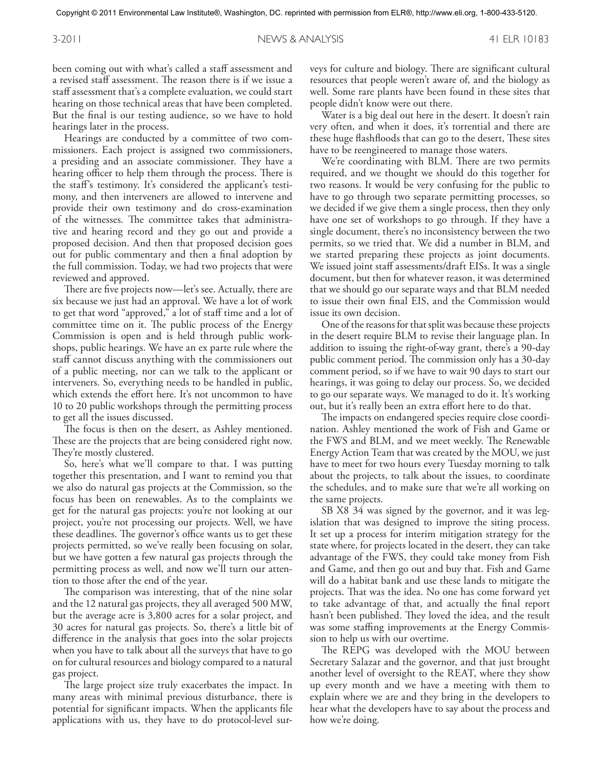been coming out with what's called a staff assessment and a revised staff assessment. The reason there is if we issue a staff assessment that's a complete evaluation, we could start hearing on those technical areas that have been completed. But the final is our testing audience, so we have to hold hearings later in the process.

Hearings are conducted by a committee of two commissioners. Each project is assigned two commissioners, a presiding and an associate commissioner. They have a hearing officer to help them through the process. There is the staff's testimony. It's considered the applicant's testimony, and then interveners are allowed to intervene and provide their own testimony and do cross-examination of the witnesses. The committee takes that administrative and hearing record and they go out and provide a proposed decision. And then that proposed decision goes out for public commentary and then a final adoption by the full commission. Today, we had two projects that were reviewed and approved.

There are five projects now—let's see. Actually, there are six because we just had an approval. We have a lot of work to get that word "approved," a lot of staff time and a lot of committee time on it. The public process of the Energy Commission is open and is held through public workshops, public hearings. We have an ex parte rule where the staff cannot discuss anything with the commissioners out of a public meeting, nor can we talk to the applicant or interveners. So, everything needs to be handled in public, which extends the effort here. It's not uncommon to have 10 to 20 public workshops through the permitting process to get all the issues discussed.

The focus is then on the desert, as Ashley mentioned. These are the projects that are being considered right now. They're mostly clustered.

So, here's what we'll compare to that. I was putting together this presentation, and I want to remind you that we also do natural gas projects at the Commission, so the focus has been on renewables. As to the complaints we get for the natural gas projects: you're not looking at our project, you're not processing our projects. Well, we have these deadlines. The governor's office wants us to get these projects permitted, so we've really been focusing on solar, but we have gotten a few natural gas projects through the permitting process as well, and now we'll turn our attention to those after the end of the year.

The comparison was interesting, that of the nine solar and the 12 natural gas projects, they all averaged 500 MW, but the average acre is 3,800 acres for a solar project, and 30 acres for natural gas projects. So, there's a little bit of difference in the analysis that goes into the solar projects when you have to talk about all the surveys that have to go on for cultural resources and biology compared to a natural gas project.

The large project size truly exacerbates the impact. In many areas with minimal previous disturbance, there is potential for significant impacts. When the applicants file applications with us, they have to do protocol-level sur-

veys for culture and biology. There are significant cultural resources that people weren't aware of, and the biology as well. Some rare plants have been found in these sites that people didn't know were out there.

Water is a big deal out here in the desert. It doesn't rain very often, and when it does, it's torrential and there are these huge flashfloods that can go to the desert, These sites have to be reengineered to manage those waters.

We're coordinating with BLM. There are two permits required, and we thought we should do this together for two reasons. It would be very confusing for the public to have to go through two separate permitting processes, so we decided if we give them a single process, then they only have one set of workshops to go through. If they have a single document, there's no inconsistency between the two permits, so we tried that. We did a number in BLM, and we started preparing these projects as joint documents. We issued joint staff assessments/draft EISs. It was a single document, but then for whatever reason, it was determined that we should go our separate ways and that BLM needed to issue their own final EIS, and the Commission would issue its own decision.

One of the reasons for that split was because these projects in the desert require BLM to revise their language plan. In addition to issuing the right-of-way grant, there's a 90-day public comment period. The commission only has a 30-day comment period, so if we have to wait 90 days to start our hearings, it was going to delay our process. So, we decided to go our separate ways. We managed to do it. It's working out, but it's really been an extra effort here to do that.

The impacts on endangered species require close coordination. Ashley mentioned the work of Fish and Game or the FWS and BLM, and we meet weekly. The Renewable Energy Action Team that was created by the MOU, we just have to meet for two hours every Tuesday morning to talk about the projects, to talk about the issues, to coordinate the schedules, and to make sure that we're all working on the same projects.

SB X8 34 was signed by the governor, and it was legislation that was designed to improve the siting process. It set up a process for interim mitigation strategy for the state where, for projects located in the desert, they can take advantage of the FWS, they could take money from Fish and Game, and then go out and buy that. Fish and Game will do a habitat bank and use these lands to mitigate the projects. That was the idea. No one has come forward yet to take advantage of that, and actually the final report hasn't been published. They loved the idea, and the result was some staffing improvements at the Energy Commission to help us with our overtime.

The REPG was developed with the MOU between Secretary Salazar and the governor, and that just brought another level of oversight to the REAT, where they show up every month and we have a meeting with them to explain where we are and they bring in the developers to hear what the developers have to say about the process and how we're doing.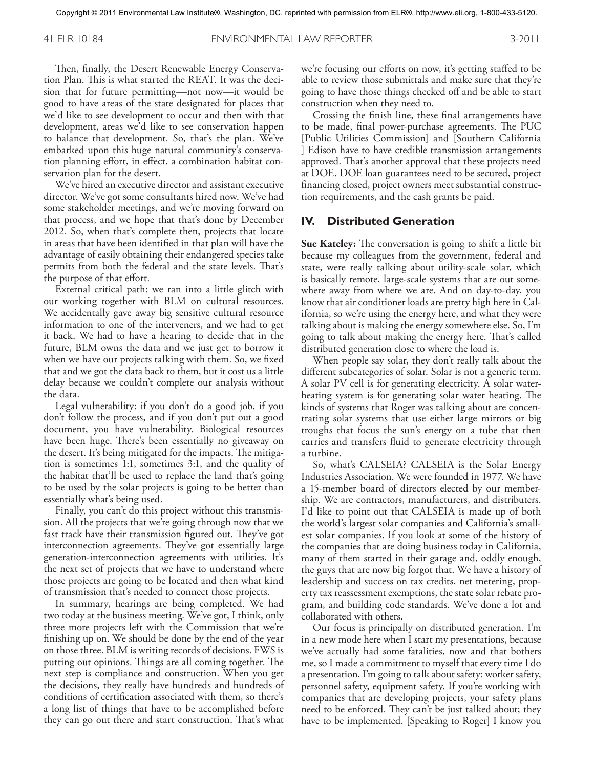Then, finally, the Desert Renewable Energy Conservation Plan. This is what started the REAT. It was the decision that for future permitting—not now—it would be good to have areas of the state designated for places that we'd like to see development to occur and then with that development, areas we'd like to see conservation happen to balance that development. So, that's the plan. We've embarked upon this huge natural community's conservation planning effort, in effect, a combination habitat conservation plan for the desert.

We've hired an executive director and assistant executive director. We've got some consultants hired now. We've had some stakeholder meetings, and we're moving forward on that process, and we hope that that's done by December 2012. So, when that's complete then, projects that locate in areas that have been identified in that plan will have the advantage of easily obtaining their endangered species take permits from both the federal and the state levels. That's the purpose of that effort.

External critical path: we ran into a little glitch with our working together with BLM on cultural resources. We accidentally gave away big sensitive cultural resource information to one of the interveners, and we had to get it back. We had to have a hearing to decide that in the future, BLM owns the data and we just get to borrow it when we have our projects talking with them. So, we fixed that and we got the data back to them, but it cost us a little delay because we couldn't complete our analysis without the data.

Legal vulnerability: if you don't do a good job, if you don't follow the process, and if you don't put out a good document, you have vulnerability. Biological resources have been huge. There's been essentially no giveaway on the desert. It's being mitigated for the impacts. The mitigation is sometimes 1:1, sometimes 3:1, and the quality of the habitat that'll be used to replace the land that's going to be used by the solar projects is going to be better than essentially what's being used.

Finally, you can't do this project without this transmission. All the projects that we're going through now that we fast track have their transmission figured out. They've got interconnection agreements. They've got essentially large generation-interconnection agreements with utilities. It's the next set of projects that we have to understand where those projects are going to be located and then what kind of transmission that's needed to connect those projects.

In summary, hearings are being completed. We had two today at the business meeting. We've got, I think, only three more projects left with the Commission that we're finishing up on. We should be done by the end of the year on those three. BLM is writing records of decisions. FWS is putting out opinions. Things are all coming together. The next step is compliance and construction. When you get the decisions, they really have hundreds and hundreds of conditions of certification associated with them, so there's a long list of things that have to be accomplished before they can go out there and start construction. That's what we're focusing our efforts on now, it's getting staffed to be able to review those submittals and make sure that they're going to have those things checked off and be able to start construction when they need to.

Crossing the finish line, these final arrangements have to be made, final power-purchase agreements. The PUC [Public Utilities Commission] and [Southern California ] Edison have to have credible transmission arrangements approved. That's another approval that these projects need at DOE. DOE loan guarantees need to be secured, project financing closed, project owners meet substantial construction requirements, and the cash grants be paid.

#### **IV. Distributed Generation**

**Sue Kateley:** The conversation is going to shift a little bit because my colleagues from the government, federal and state, were really talking about utility-scale solar, which is basically remote, large-scale systems that are out somewhere away from where we are. And on day-to-day, you know that air conditioner loads are pretty high here in California, so we're using the energy here, and what they were talking about is making the energy somewhere else. So, I'm going to talk about making the energy here. That's called distributed generation close to where the load is.

When people say solar, they don't really talk about the different subcategories of solar. Solar is not a generic term. A solar PV cell is for generating electricity. A solar waterheating system is for generating solar water heating. The kinds of systems that Roger was talking about are concentrating solar systems that use either large mirrors or big troughs that focus the sun's energy on a tube that then carries and transfers fluid to generate electricity through a turbine.

So, what's CALSEIA? CALSEIA is the Solar Energy Industries Association. We were founded in 1977. We have a 15-member board of directors elected by our membership. We are contractors, manufacturers, and distributers. I'd like to point out that CALSEIA is made up of both the world's largest solar companies and California's smallest solar companies. If you look at some of the history of the companies that are doing business today in California, many of them started in their garage and, oddly enough, the guys that are now big forgot that. We have a history of leadership and success on tax credits, net metering, property tax reassessment exemptions, the state solar rebate program, and building code standards. We've done a lot and collaborated with others.

Our focus is principally on distributed generation. I'm in a new mode here when I start my presentations, because we've actually had some fatalities, now and that bothers me, so I made a commitment to myself that every time I do a presentation, I'm going to talk about safety: worker safety, personnel safety, equipment safety. If you're working with companies that are developing projects, your safety plans need to be enforced. They can't be just talked about; they have to be implemented. [Speaking to Roger] I know you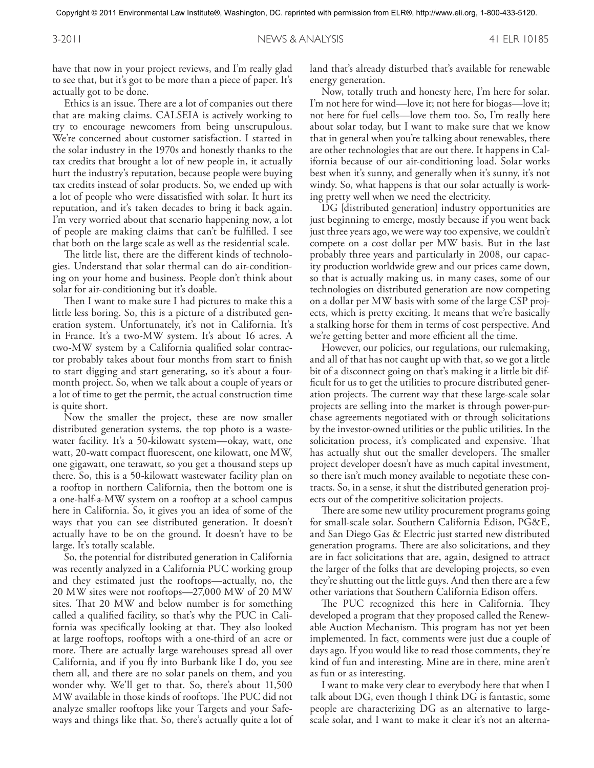have that now in your project reviews, and I'm really glad to see that, but it's got to be more than a piece of paper. It's actually got to be done.

Ethics is an issue. There are a lot of companies out there that are making claims. CALSEIA is actively working to try to encourage newcomers from being unscrupulous. We're concerned about customer satisfaction. I started in the solar industry in the 1970s and honestly thanks to the tax credits that brought a lot of new people in, it actually hurt the industry's reputation, because people were buying tax credits instead of solar products. So, we ended up with a lot of people who were dissatisfied with solar. It hurt its reputation, and it's taken decades to bring it back again. I'm very worried about that scenario happening now, a lot of people are making claims that can't be fulfilled. I see that both on the large scale as well as the residential scale.

The little list, there are the different kinds of technologies. Understand that solar thermal can do air-conditioning on your home and business. People don't think about solar for air-conditioning but it's doable.

Then I want to make sure I had pictures to make this a little less boring. So, this is a picture of a distributed generation system. Unfortunately, it's not in California. It's in France. It's a two-MW system. It's about 16 acres. A two-MW system by a California qualified solar contractor probably takes about four months from start to finish to start digging and start generating, so it's about a fourmonth project. So, when we talk about a couple of years or a lot of time to get the permit, the actual construction time is quite short.

Now the smaller the project, these are now smaller distributed generation systems, the top photo is a wastewater facility. It's a 50-kilowatt system—okay, watt, one watt, 20-watt compact fluorescent, one kilowatt, one MW, one gigawatt, one terawatt, so you get a thousand steps up there. So, this is a 50-kilowatt wastewater facility plan on a rooftop in northern California, then the bottom one is a one-half-a-MW system on a rooftop at a school campus here in California. So, it gives you an idea of some of the ways that you can see distributed generation. It doesn't actually have to be on the ground. It doesn't have to be large. It's totally scalable.

So, the potential for distributed generation in California was recently analyzed in a California PUC working group and they estimated just the rooftops—actually, no, the 20 MW sites were not rooftops—27,000 MW of 20 MW sites. That 20 MW and below number is for something called a qualified facility, so that's why the PUC in California was specifically looking at that. They also looked at large rooftops, rooftops with a one-third of an acre or more. There are actually large warehouses spread all over California, and if you fly into Burbank like I do, you see them all, and there are no solar panels on them, and you wonder why. We'll get to that. So, there's about 11,500 MW available in those kinds of rooftops. The PUC did not analyze smaller rooftops like your Targets and your Safeways and things like that. So, there's actually quite a lot of land that's already disturbed that's available for renewable energy generation.

Now, totally truth and honesty here, I'm here for solar. I'm not here for wind—love it; not here for biogas—love it; not here for fuel cells—love them too. So, I'm really here about solar today, but I want to make sure that we know that in general when you're talking about renewables, there are other technologies that are out there. It happens in California because of our air-conditioning load. Solar works best when it's sunny, and generally when it's sunny, it's not windy. So, what happens is that our solar actually is working pretty well when we need the electricity.

DG [distributed generation] industry opportunities are just beginning to emerge, mostly because if you went back just three years ago, we were way too expensive, we couldn't compete on a cost dollar per MW basis. But in the last probably three years and particularly in 2008, our capacity production worldwide grew and our prices came down, so that is actually making us, in many cases, some of our technologies on distributed generation are now competing on a dollar per MW basis with some of the large CSP projects, which is pretty exciting. It means that we're basically a stalking horse for them in terms of cost perspective. And we're getting better and more efficient all the time.

However, our policies, our regulations, our rulemaking, and all of that has not caught up with that, so we got a little bit of a disconnect going on that's making it a little bit difficult for us to get the utilities to procure distributed generation projects. The current way that these large-scale solar projects are selling into the market is through power-purchase agreements negotiated with or through solicitations by the investor-owned utilities or the public utilities. In the solicitation process, it's complicated and expensive. That has actually shut out the smaller developers. The smaller project developer doesn't have as much capital investment, so there isn't much money available to negotiate these contracts. So, in a sense, it shut the distributed generation projects out of the competitive solicitation projects.

There are some new utility procurement programs going for small-scale solar. Southern California Edison, PG&E, and San Diego Gas & Electric just started new distributed generation programs. There are also solicitations, and they are in fact solicitations that are, again, designed to attract the larger of the folks that are developing projects, so even they're shutting out the little guys. And then there are a few other variations that Southern California Edison offers.

The PUC recognized this here in California. They developed a program that they proposed called the Renewable Auction Mechanism. This program has not yet been implemented. In fact, comments were just due a couple of days ago. If you would like to read those comments, they're kind of fun and interesting. Mine are in there, mine aren't as fun or as interesting.

I want to make very clear to everybody here that when I talk about DG, even though I think DG is fantastic, some people are characterizing DG as an alternative to largescale solar, and I want to make it clear it's not an alterna-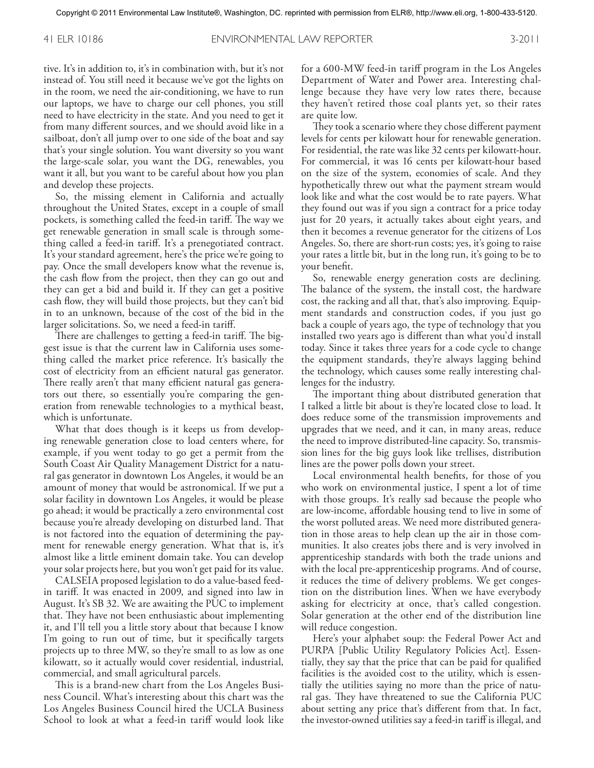tive. It's in addition to, it's in combination with, but it's not instead of. You still need it because we've got the lights on in the room, we need the air-conditioning, we have to run our laptops, we have to charge our cell phones, you still need to have electricity in the state. And you need to get it from many different sources, and we should avoid like in a sailboat, don't all jump over to one side of the boat and say that's your single solution. You want diversity so you want the large-scale solar, you want the DG, renewables, you want it all, but you want to be careful about how you plan and develop these projects.

So, the missing element in California and actually throughout the United States, except in a couple of small pockets, is something called the feed-in tariff. The way we get renewable generation in small scale is through something called a feed-in tariff. It's a prenegotiated contract. It's your standard agreement, here's the price we're going to pay. Once the small developers know what the revenue is, the cash flow from the project, then they can go out and they can get a bid and build it. If they can get a positive cash flow, they will build those projects, but they can't bid in to an unknown, because of the cost of the bid in the larger solicitations. So, we need a feed-in tariff.

There are challenges to getting a feed-in tariff. The biggest issue is that the current law in California uses something called the market price reference. It's basically the cost of electricity from an efficient natural gas generator. There really aren't that many efficient natural gas generators out there, so essentially you're comparing the generation from renewable technologies to a mythical beast, which is unfortunate.

What that does though is it keeps us from developing renewable generation close to load centers where, for example, if you went today to go get a permit from the South Coast Air Quality Management District for a natural gas generator in downtown Los Angeles, it would be an amount of money that would be astronomical. If we put a solar facility in downtown Los Angeles, it would be please go ahead; it would be practically a zero environmental cost because you're already developing on disturbed land. That is not factored into the equation of determining the payment for renewable energy generation. What that is, it's almost like a little eminent domain take. You can develop your solar projects here, but you won't get paid for its value.

CALSEIA proposed legislation to do a value-based feedin tariff. It was enacted in 2009, and signed into law in August. It's SB 32. We are awaiting the PUC to implement that. They have not been enthusiastic about implementing it, and I'll tell you a little story about that because I know I'm going to run out of time, but it specifically targets projects up to three MW, so they're small to as low as one kilowatt, so it actually would cover residential, industrial, commercial, and small agricultural parcels.

This is a brand-new chart from the Los Angeles Business Council. What's interesting about this chart was the Los Angeles Business Council hired the UCLA Business School to look at what a feed-in tariff would look like for a 600-MW feed-in tariff program in the Los Angeles Department of Water and Power area. Interesting challenge because they have very low rates there, because they haven't retired those coal plants yet, so their rates are quite low.

They took a scenario where they chose different payment levels for cents per kilowatt hour for renewable generation. For residential, the rate was like 32 cents per kilowatt-hour. For commercial, it was 16 cents per kilowatt-hour based on the size of the system, economies of scale. And they hypothetically threw out what the payment stream would look like and what the cost would be to rate payers. What they found out was if you sign a contract for a price today just for 20 years, it actually takes about eight years, and then it becomes a revenue generator for the citizens of Los Angeles. So, there are short-run costs; yes, it's going to raise your rates a little bit, but in the long run, it's going to be to your benefit.

So, renewable energy generation costs are declining. The balance of the system, the install cost, the hardware cost, the racking and all that, that's also improving. Equipment standards and construction codes, if you just go back a couple of years ago, the type of technology that you installed two years ago is different than what you'd install today. Since it takes three years for a code cycle to change the equipment standards, they're always lagging behind the technology, which causes some really interesting challenges for the industry.

The important thing about distributed generation that I talked a little bit about is they're located close to load. It does reduce some of the transmission improvements and upgrades that we need, and it can, in many areas, reduce the need to improve distributed-line capacity. So, transmission lines for the big guys look like trellises, distribution lines are the power polls down your street.

Local environmental health benefits, for those of you who work on environmental justice, I spent a lot of time with those groups. It's really sad because the people who are low-income, affordable housing tend to live in some of the worst polluted areas. We need more distributed generation in those areas to help clean up the air in those communities. It also creates jobs there and is very involved in apprenticeship standards with both the trade unions and with the local pre-apprenticeship programs. And of course, it reduces the time of delivery problems. We get congestion on the distribution lines. When we have everybody asking for electricity at once, that's called congestion. Solar generation at the other end of the distribution line will reduce congestion.

Here's your alphabet soup: the Federal Power Act and PURPA [Public Utility Regulatory Policies Act]. Essentially, they say that the price that can be paid for qualified facilities is the avoided cost to the utility, which is essentially the utilities saying no more than the price of natural gas. They have threatened to sue the California PUC about setting any price that's different from that. In fact, the investor-owned utilities say a feed-in tariff is illegal, and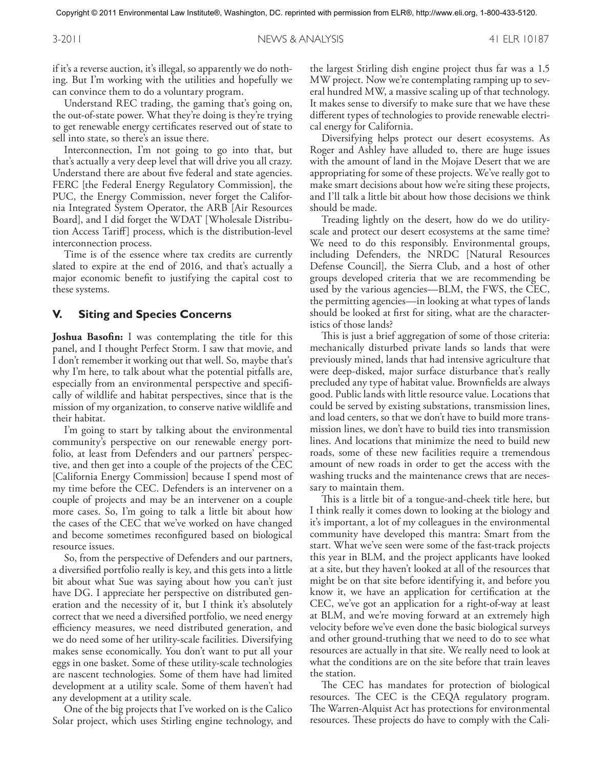if it's a reverse auction, it's illegal, so apparently we do nothing. But I'm working with the utilities and hopefully we can convince them to do a voluntary program.

Understand REC trading, the gaming that's going on, the out-of-state power. What they're doing is they're trying to get renewable energy certificates reserved out of state to sell into state, so there's an issue there.

Interconnection, I'm not going to go into that, but that's actually a very deep level that will drive you all crazy. Understand there are about five federal and state agencies. FERC [the Federal Energy Regulatory Commission], the PUC, the Energy Commission, never forget the California Integrated System Operator, the ARB [Air Resources Board], and I did forget the WDAT [Wholesale Distribution Access Tariff] process, which is the distribution-level interconnection process.

Time is of the essence where tax credits are currently slated to expire at the end of 2016, and that's actually a major economic benefit to justifying the capital cost to these systems.

#### **V. Siting and Species Concerns**

**Joshua Basofin:** I was contemplating the title for this panel, and I thought Perfect Storm. I saw that movie, and I don't remember it working out that well. So, maybe that's why I'm here, to talk about what the potential pitfalls are, especially from an environmental perspective and specifically of wildlife and habitat perspectives, since that is the mission of my organization, to conserve native wildlife and their habitat.

I'm going to start by talking about the environmental community's perspective on our renewable energy portfolio, at least from Defenders and our partners' perspective, and then get into a couple of the projects of the CEC [California Energy Commission] because I spend most of my time before the CEC. Defenders is an intervener on a couple of projects and may be an intervener on a couple more cases. So, I'm going to talk a little bit about how the cases of the CEC that we've worked on have changed and become sometimes reconfigured based on biological resource issues.

So, from the perspective of Defenders and our partners, a diversified portfolio really is key, and this gets into a little bit about what Sue was saying about how you can't just have DG. I appreciate her perspective on distributed generation and the necessity of it, but I think it's absolutely correct that we need a diversified portfolio, we need energy efficiency measures, we need distributed generation, and we do need some of her utility-scale facilities. Diversifying makes sense economically. You don't want to put all your eggs in one basket. Some of these utility-scale technologies are nascent technologies. Some of them have had limited development at a utility scale. Some of them haven't had any development at a utility scale.

One of the big projects that I've worked on is the Calico Solar project, which uses Stirling engine technology, and

the largest Stirling dish engine project thus far was a 1.5 MW project. Now we're contemplating ramping up to several hundred MW, a massive scaling up of that technology. It makes sense to diversify to make sure that we have these different types of technologies to provide renewable electrical energy for California.

Diversifying helps protect our desert ecosystems. As Roger and Ashley have alluded to, there are huge issues with the amount of land in the Mojave Desert that we are appropriating for some of these projects. We've really got to make smart decisions about how we're siting these projects, and I'll talk a little bit about how those decisions we think should be made.

Treading lightly on the desert, how do we do utilityscale and protect our desert ecosystems at the same time? We need to do this responsibly. Environmental groups, including Defenders, the NRDC [Natural Resources Defense Council], the Sierra Club, and a host of other groups developed criteria that we are recommending be used by the various agencies—BLM, the FWS, the CEC, the permitting agencies—in looking at what types of lands should be looked at first for siting, what are the characteristics of those lands?

This is just a brief aggregation of some of those criteria: mechanically disturbed private lands so lands that were previously mined, lands that had intensive agriculture that were deep-disked, major surface disturbance that's really precluded any type of habitat value. Brownfields are always good. Public lands with little resource value. Locations that could be served by existing substations, transmission lines, and load centers, so that we don't have to build more transmission lines, we don't have to build ties into transmission lines. And locations that minimize the need to build new roads, some of these new facilities require a tremendous amount of new roads in order to get the access with the washing trucks and the maintenance crews that are necessary to maintain them.

This is a little bit of a tongue-and-cheek title here, but I think really it comes down to looking at the biology and it's important, a lot of my colleagues in the environmental community have developed this mantra: Smart from the start. What we've seen were some of the fast-track projects this year in BLM, and the project applicants have looked at a site, but they haven't looked at all of the resources that might be on that site before identifying it, and before you know it, we have an application for certification at the CEC, we've got an application for a right-of-way at least at BLM, and we're moving forward at an extremely high velocity before we've even done the basic biological surveys and other ground-truthing that we need to do to see what resources are actually in that site. We really need to look at what the conditions are on the site before that train leaves the station.

The CEC has mandates for protection of biological resources. The CEC is the CEQA regulatory program. The Warren-Alquist Act has protections for environmental resources. These projects do have to comply with the Cali-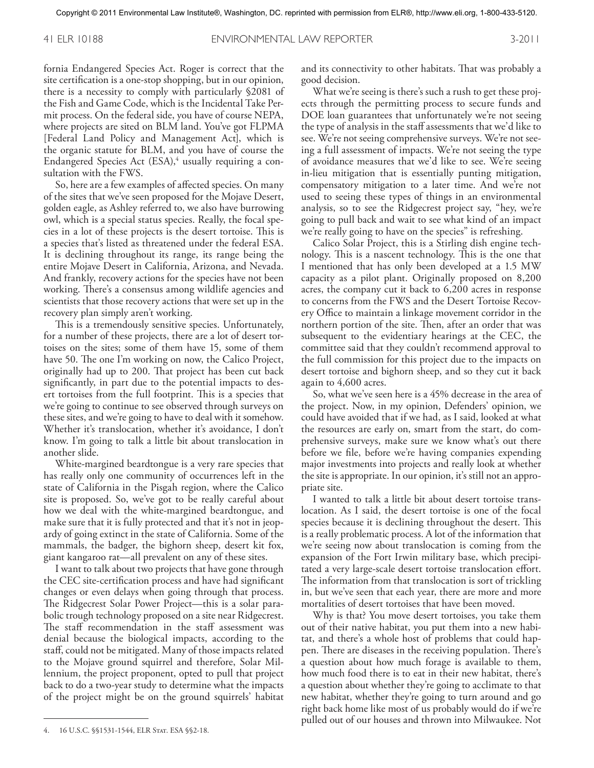fornia Endangered Species Act. Roger is correct that the site certification is a one-stop shopping, but in our opinion, there is a necessity to comply with particularly §2081 of the Fish and Game Code, which is the Incidental Take Permit process. On the federal side, you have of course NEPA, where projects are sited on BLM land. You've got FLPMA [Federal Land Policy and Management Act], which is the organic statute for BLM, and you have of course the Endangered Species Act (ESA),<sup>4</sup> usually requiring a consultation with the FWS.

So, here are a few examples of affected species. On many of the sites that we've seen proposed for the Mojave Desert, golden eagle, as Ashley referred to, we also have burrowing owl, which is a special status species. Really, the focal species in a lot of these projects is the desert tortoise. This is a species that's listed as threatened under the federal ESA. It is declining throughout its range, its range being the entire Mojave Desert in California, Arizona, and Nevada. And frankly, recovery actions for the species have not been working. There's a consensus among wildlife agencies and scientists that those recovery actions that were set up in the recovery plan simply aren't working.

This is a tremendously sensitive species. Unfortunately, for a number of these projects, there are a lot of desert tortoises on the sites; some of them have 15, some of them have 50. The one I'm working on now, the Calico Project, originally had up to 200. That project has been cut back significantly, in part due to the potential impacts to desert tortoises from the full footprint. This is a species that we're going to continue to see observed through surveys on these sites, and we're going to have to deal with it somehow. Whether it's translocation, whether it's avoidance, I don't know. I'm going to talk a little bit about translocation in another slide.

White-margined beardtongue is a very rare species that has really only one community of occurrences left in the state of California in the Pisgah region, where the Calico site is proposed. So, we've got to be really careful about how we deal with the white-margined beardtongue, and make sure that it is fully protected and that it's not in jeopardy of going extinct in the state of California. Some of the mammals, the badger, the bighorn sheep, desert kit fox, giant kangaroo rat—all prevalent on any of these sites.

I want to talk about two projects that have gone through the CEC site-certification process and have had significant changes or even delays when going through that process. The Ridgecrest Solar Power Project—this is a solar parabolic trough technology proposed on a site near Ridgecrest. The staff recommendation in the staff assessment was denial because the biological impacts, according to the staff, could not be mitigated. Many of those impacts related to the Mojave ground squirrel and therefore, Solar Millennium, the project proponent, opted to pull that project back to do a two-year study to determine what the impacts of the project might be on the ground squirrels' habitat and its connectivity to other habitats. That was probably a good decision.

What we're seeing is there's such a rush to get these projects through the permitting process to secure funds and DOE loan guarantees that unfortunately we're not seeing the type of analysis in the staff assessments that we'd like to see. We're not seeing comprehensive surveys. We're not seeing a full assessment of impacts. We're not seeing the type of avoidance measures that we'd like to see. We're seeing in-lieu mitigation that is essentially punting mitigation, compensatory mitigation to a later time. And we're not used to seeing these types of things in an environmental analysis, so to see the Ridgecrest project say, "hey, we're going to pull back and wait to see what kind of an impact we're really going to have on the species" is refreshing.

Calico Solar Project, this is a Stirling dish engine technology. This is a nascent technology. This is the one that I mentioned that has only been developed at a 1.5 MW capacity as a pilot plant. Originally proposed on 8,200 acres, the company cut it back to 6,200 acres in response to concerns from the FWS and the Desert Tortoise Recovery Office to maintain a linkage movement corridor in the northern portion of the site. Then, after an order that was subsequent to the evidentiary hearings at the CEC, the committee said that they couldn't recommend approval to the full commission for this project due to the impacts on desert tortoise and bighorn sheep, and so they cut it back again to 4,600 acres.

So, what we've seen here is a 45% decrease in the area of the project. Now, in my opinion, Defenders' opinion, we could have avoided that if we had, as I said, looked at what the resources are early on, smart from the start, do comprehensive surveys, make sure we know what's out there before we file, before we're having companies expending major investments into projects and really look at whether the site is appropriate. In our opinion, it's still not an appropriate site.

I wanted to talk a little bit about desert tortoise translocation. As I said, the desert tortoise is one of the focal species because it is declining throughout the desert. This is a really problematic process. A lot of the information that we're seeing now about translocation is coming from the expansion of the Fort Irwin military base, which precipitated a very large-scale desert tortoise translocation effort. The information from that translocation is sort of trickling in, but we've seen that each year, there are more and more mortalities of desert tortoises that have been moved.

Why is that? You move desert tortoises, you take them out of their native habitat, you put them into a new habitat, and there's a whole host of problems that could happen. There are diseases in the receiving population. There's a question about how much forage is available to them, how much food there is to eat in their new habitat, there's a question about whether they're going to acclimate to that new habitat, whether they're going to turn around and go right back home like most of us probably would do if we're pulled out of our houses and thrown into Milwaukee. Not

<sup>4. 16</sup> U.S.C. §§1531-1544, ELR Stat. ESA §§2-18.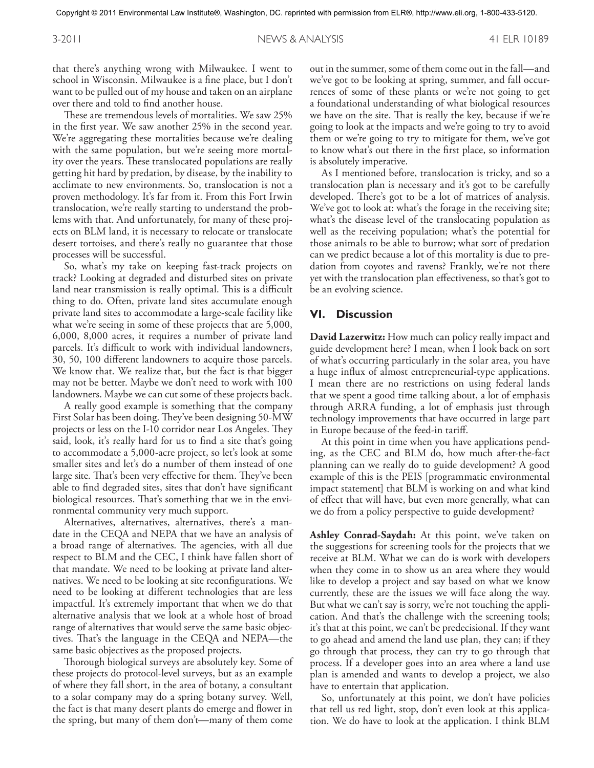that there's anything wrong with Milwaukee. I went to school in Wisconsin. Milwaukee is a fine place, but I don't want to be pulled out of my house and taken on an airplane over there and told to find another house.

These are tremendous levels of mortalities. We saw 25% in the first year. We saw another 25% in the second year. We're aggregating these mortalities because we're dealing with the same population, but we're seeing more mortality over the years. These translocated populations are really getting hit hard by predation, by disease, by the inability to acclimate to new environments. So, translocation is not a proven methodology. It's far from it. From this Fort Irwin translocation, we're really starting to understand the problems with that. And unfortunately, for many of these projects on BLM land, it is necessary to relocate or translocate desert tortoises, and there's really no guarantee that those processes will be successful.

So, what's my take on keeping fast-track projects on track? Looking at degraded and disturbed sites on private land near transmission is really optimal. This is a difficult thing to do. Often, private land sites accumulate enough private land sites to accommodate a large-scale facility like what we're seeing in some of these projects that are 5,000, 6,000, 8,000 acres, it requires a number of private land parcels. It's difficult to work with individual landowners, 30, 50, 100 different landowners to acquire those parcels. We know that. We realize that, but the fact is that bigger may not be better. Maybe we don't need to work with 100 landowners. Maybe we can cut some of these projects back.

A really good example is something that the company First Solar has been doing. They've been designing 50-MW projects or less on the I-10 corridor near Los Angeles. They said, look, it's really hard for us to find a site that's going to accommodate a 5,000-acre project, so let's look at some smaller sites and let's do a number of them instead of one large site. That's been very effective for them. They've been able to find degraded sites, sites that don't have significant biological resources. That's something that we in the environmental community very much support.

Alternatives, alternatives, alternatives, there's a mandate in the CEQA and NEPA that we have an analysis of a broad range of alternatives. The agencies, with all due respect to BLM and the CEC, I think have fallen short of that mandate. We need to be looking at private land alternatives. We need to be looking at site reconfigurations. We need to be looking at different technologies that are less impactful. It's extremely important that when we do that alternative analysis that we look at a whole host of broad range of alternatives that would serve the same basic objectives. That's the language in the CEQA and NEPA—the same basic objectives as the proposed projects.

Thorough biological surveys are absolutely key. Some of these projects do protocol-level surveys, but as an example of where they fall short, in the area of botany, a consultant to a solar company may do a spring botany survey. Well, the fact is that many desert plants do emerge and flower in the spring, but many of them don't—many of them come

out in the summer, some of them come out in the fall—and we've got to be looking at spring, summer, and fall occurrences of some of these plants or we're not going to get a foundational understanding of what biological resources we have on the site. That is really the key, because if we're going to look at the impacts and we're going to try to avoid them or we're going to try to mitigate for them, we've got to know what's out there in the first place, so information is absolutely imperative.

As I mentioned before, translocation is tricky, and so a translocation plan is necessary and it's got to be carefully developed. There's got to be a lot of matrices of analysis. We've got to look at: what's the forage in the receiving site; what's the disease level of the translocating population as well as the receiving population; what's the potential for those animals to be able to burrow; what sort of predation can we predict because a lot of this mortality is due to predation from coyotes and ravens? Frankly, we're not there yet with the translocation plan effectiveness, so that's got to be an evolving science.

### **VI. Discussion**

**David Lazerwitz:** How much can policy really impact and guide development here? I mean, when I look back on sort of what's occurring particularly in the solar area, you have a huge influx of almost entrepreneurial-type applications. I mean there are no restrictions on using federal lands that we spent a good time talking about, a lot of emphasis through ARRA funding, a lot of emphasis just through technology improvements that have occurred in large part in Europe because of the feed-in tariff.

At this point in time when you have applications pending, as the CEC and BLM do, how much after-the-fact planning can we really do to guide development? A good example of this is the PEIS [programmatic environmental impact statement] that BLM is working on and what kind of effect that will have, but even more generally, what can we do from a policy perspective to guide development?

**Ashley Conrad-Saydah:** At this point, we've taken on the suggestions for screening tools for the projects that we receive at BLM. What we can do is work with developers when they come in to show us an area where they would like to develop a project and say based on what we know currently, these are the issues we will face along the way. But what we can't say is sorry, we're not touching the application. And that's the challenge with the screening tools; it's that at this point, we can't be predecisional. If they want to go ahead and amend the land use plan, they can; if they go through that process, they can try to go through that process. If a developer goes into an area where a land use plan is amended and wants to develop a project, we also have to entertain that application.

So, unfortunately at this point, we don't have policies that tell us red light, stop, don't even look at this application. We do have to look at the application. I think BLM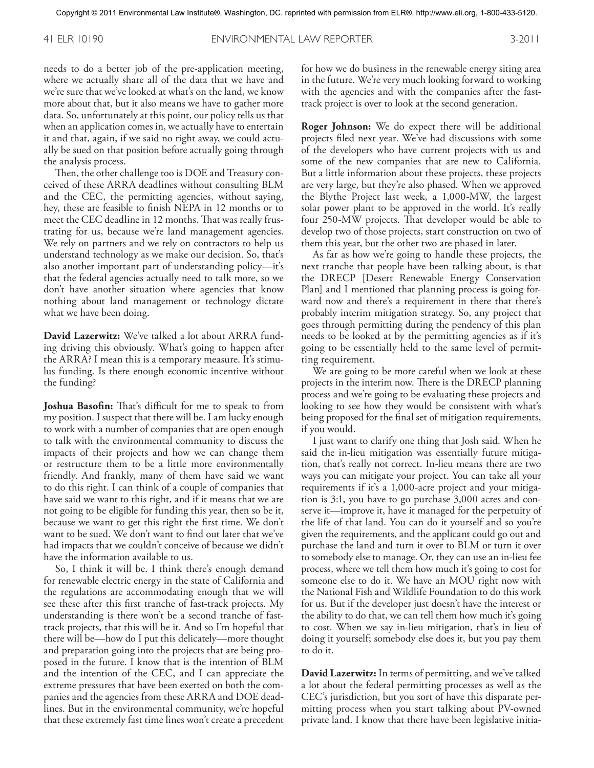needs to do a better job of the pre-application meeting, where we actually share all of the data that we have and we're sure that we've looked at what's on the land, we know more about that, but it also means we have to gather more data. So, unfortunately at this point, our policy tells us that when an application comes in, we actually have to entertain it and that, again, if we said no right away, we could actually be sued on that position before actually going through the analysis process.

Then, the other challenge too is DOE and Treasury conceived of these ARRA deadlines without consulting BLM and the CEC, the permitting agencies, without saying, hey, these are feasible to finish NEPA in 12 months or to meet the CEC deadline in 12 months. That was really frustrating for us, because we're land management agencies. We rely on partners and we rely on contractors to help us understand technology as we make our decision. So, that's also another important part of understanding policy—it's that the federal agencies actually need to talk more, so we don't have another situation where agencies that know nothing about land management or technology dictate what we have been doing.

**David Lazerwitz:** We've talked a lot about ARRA funding driving this obviously. What's going to happen after the ARRA? I mean this is a temporary measure. It's stimulus funding. Is there enough economic incentive without the funding?

**Joshua Basofin:** That's difficult for me to speak to from my position. I suspect that there will be. I am lucky enough to work with a number of companies that are open enough to talk with the environmental community to discuss the impacts of their projects and how we can change them or restructure them to be a little more environmentally friendly. And frankly, many of them have said we want to do this right. I can think of a couple of companies that have said we want to this right, and if it means that we are not going to be eligible for funding this year, then so be it, because we want to get this right the first time. We don't want to be sued. We don't want to find out later that we've had impacts that we couldn't conceive of because we didn't have the information available to us.

So, I think it will be. I think there's enough demand for renewable electric energy in the state of California and the regulations are accommodating enough that we will see these after this first tranche of fast-track projects. My understanding is there won't be a second tranche of fasttrack projects, that this will be it. And so I'm hopeful that there will be—how do I put this delicately—more thought and preparation going into the projects that are being proposed in the future. I know that is the intention of BLM and the intention of the CEC, and I can appreciate the extreme pressures that have been exerted on both the companies and the agencies from these ARRA and DOE deadlines. But in the environmental community, we're hopeful that these extremely fast time lines won't create a precedent for how we do business in the renewable energy siting area in the future. We're very much looking forward to working with the agencies and with the companies after the fasttrack project is over to look at the second generation.

**Roger Johnson:** We do expect there will be additional projects filed next year. We've had discussions with some of the developers who have current projects with us and some of the new companies that are new to California. But a little information about these projects, these projects are very large, but they're also phased. When we approved the Blythe Project last week, a 1,000-MW, the largest solar power plant to be approved in the world. It's really four 250-MW projects. That developer would be able to develop two of those projects, start construction on two of them this year, but the other two are phased in later.

As far as how we're going to handle these projects, the next tranche that people have been talking about, is that the DRECP [Desert Renewable Energy Conservation Plan] and I mentioned that planning process is going forward now and there's a requirement in there that there's probably interim mitigation strategy. So, any project that goes through permitting during the pendency of this plan needs to be looked at by the permitting agencies as if it's going to be essentially held to the same level of permitting requirement.

We are going to be more careful when we look at these projects in the interim now. There is the DRECP planning process and we're going to be evaluating these projects and looking to see how they would be consistent with what's being proposed for the final set of mitigation requirements, if you would.

I just want to clarify one thing that Josh said. When he said the in-lieu mitigation was essentially future mitigation, that's really not correct. In-lieu means there are two ways you can mitigate your project. You can take all your requirements if it's a 1,000-acre project and your mitigation is 3:1, you have to go purchase 3,000 acres and conserve it—improve it, have it managed for the perpetuity of the life of that land. You can do it yourself and so you're given the requirements, and the applicant could go out and purchase the land and turn it over to BLM or turn it over to somebody else to manage. Or, they can use an in-lieu fee process, where we tell them how much it's going to cost for someone else to do it. We have an MOU right now with the National Fish and Wildlife Foundation to do this work for us. But if the developer just doesn't have the interest or the ability to do that, we can tell them how much it's going to cost. When we say in-lieu mitigation, that's in lieu of doing it yourself; somebody else does it, but you pay them to do it.

**David Lazerwitz:** In terms of permitting, and we've talked a lot about the federal permitting processes as well as the CEC's jurisdiction, but you sort of have this disparate permitting process when you start talking about PV-owned private land. I know that there have been legislative initia-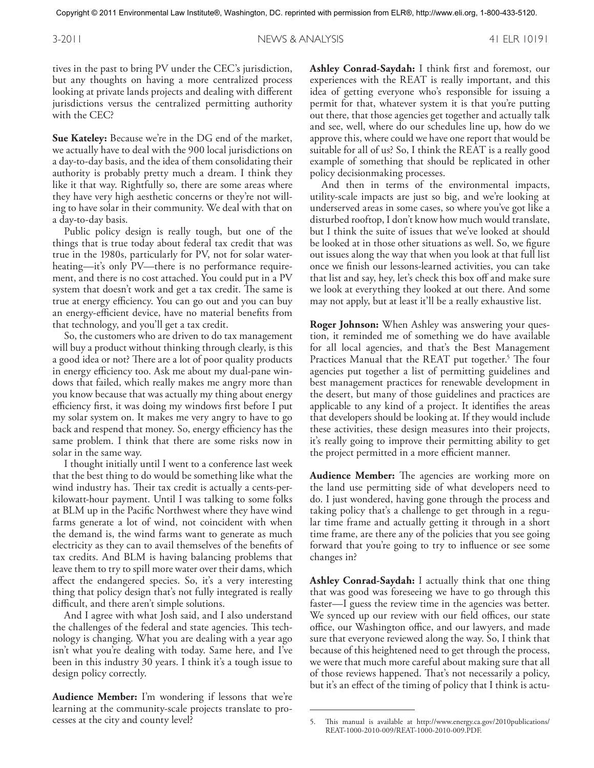tives in the past to bring PV under the CEC's jurisdiction, but any thoughts on having a more centralized process looking at private lands projects and dealing with different jurisdictions versus the centralized permitting authority with the CEC?

**Sue Kateley:** Because we're in the DG end of the market, we actually have to deal with the 900 local jurisdictions on a day-to-day basis, and the idea of them consolidating their authority is probably pretty much a dream. I think they like it that way. Rightfully so, there are some areas where they have very high aesthetic concerns or they're not willing to have solar in their community. We deal with that on a day-to-day basis.

Public policy design is really tough, but one of the things that is true today about federal tax credit that was true in the 1980s, particularly for PV, not for solar waterheating—it's only PV—there is no performance requirement, and there is no cost attached. You could put in a PV system that doesn't work and get a tax credit. The same is true at energy efficiency. You can go out and you can buy an energy-efficient device, have no material benefits from that technology, and you'll get a tax credit.

So, the customers who are driven to do tax management will buy a product without thinking through clearly, is this a good idea or not? There are a lot of poor quality products in energy efficiency too. Ask me about my dual-pane windows that failed, which really makes me angry more than you know because that was actually my thing about energy efficiency first, it was doing my windows first before I put my solar system on. It makes me very angry to have to go back and respend that money. So, energy efficiency has the same problem. I think that there are some risks now in solar in the same way.

I thought initially until I went to a conference last week that the best thing to do would be something like what the wind industry has. Their tax credit is actually a cents-perkilowatt-hour payment. Until I was talking to some folks at BLM up in the Pacific Northwest where they have wind farms generate a lot of wind, not coincident with when the demand is, the wind farms want to generate as much electricity as they can to avail themselves of the benefits of tax credits. And BLM is having balancing problems that leave them to try to spill more water over their dams, which affect the endangered species. So, it's a very interesting thing that policy design that's not fully integrated is really difficult, and there aren't simple solutions.

And I agree with what Josh said, and I also understand the challenges of the federal and state agencies. This technology is changing. What you are dealing with a year ago isn't what you're dealing with today. Same here, and I've been in this industry 30 years. I think it's a tough issue to design policy correctly.

**Audience Member:** I'm wondering if lessons that we're learning at the community-scale projects translate to processes at the city and county level?

**Ashley Conrad-Saydah:** I think first and foremost, our experiences with the REAT is really important, and this idea of getting everyone who's responsible for issuing a permit for that, whatever system it is that you're putting out there, that those agencies get together and actually talk and see, well, where do our schedules line up, how do we approve this, where could we have one report that would be suitable for all of us? So, I think the REAT is a really good example of something that should be replicated in other policy decisionmaking processes.

And then in terms of the environmental impacts, utility-scale impacts are just so big, and we're looking at underserved areas in some cases, so where you've got like a disturbed rooftop, I don't know how much would translate, but I think the suite of issues that we've looked at should be looked at in those other situations as well. So, we figure out issues along the way that when you look at that full list once we finish our lessons-learned activities, you can take that list and say, hey, let's check this box off and make sure we look at everything they looked at out there. And some may not apply, but at least it'll be a really exhaustive list.

**Roger Johnson:** When Ashley was answering your question, it reminded me of something we do have available for all local agencies, and that's the Best Management Practices Manual that the REAT put together. 5 The four agencies put together a list of permitting guidelines and best management practices for renewable development in the desert, but many of those guidelines and practices are applicable to any kind of a project. It identifies the areas that developers should be looking at. If they would include these activities, these design measures into their projects, it's really going to improve their permitting ability to get the project permitted in a more efficient manner.

**Audience Member:** The agencies are working more on the land use permitting side of what developers need to do. I just wondered, having gone through the process and taking policy that's a challenge to get through in a regular time frame and actually getting it through in a short time frame, are there any of the policies that you see going forward that you're going to try to influence or see some changes in?

**Ashley Conrad-Saydah:** I actually think that one thing that was good was foreseeing we have to go through this faster—I guess the review time in the agencies was better. We synced up our review with our field offices, our state office, our Washington office, and our lawyers, and made sure that everyone reviewed along the way. So, I think that because of this heightened need to get through the process, we were that much more careful about making sure that all of those reviews happened. That's not necessarily a policy, but it's an effect of the timing of policy that I think is actu-

<sup>5.</sup> This manual is available at http://www.energy.ca.gov/2010publications/ REAT-1000-2010-009/REAT-1000-2010-009.PDF.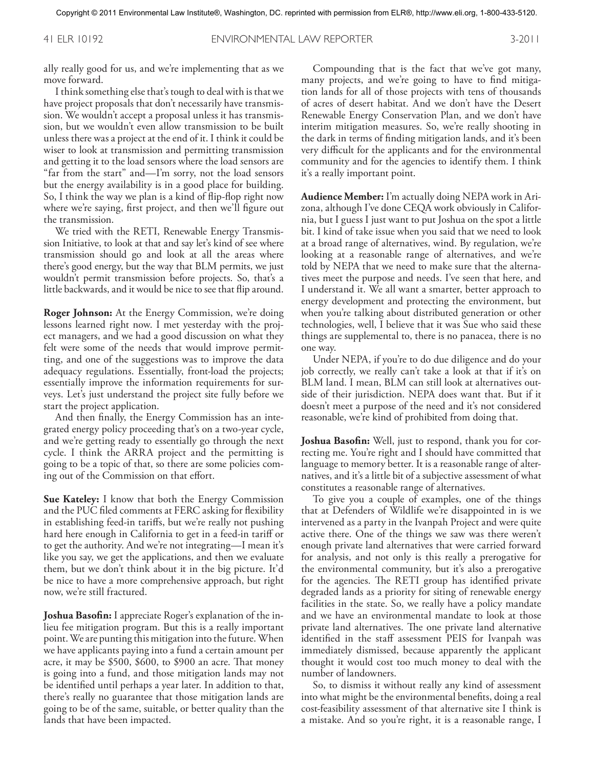ally really good for us, and we're implementing that as we move forward.

I think something else that's tough to deal with is that we have project proposals that don't necessarily have transmission. We wouldn't accept a proposal unless it has transmission, but we wouldn't even allow transmission to be built unless there was a project at the end of it. I think it could be wiser to look at transmission and permitting transmission and getting it to the load sensors where the load sensors are "far from the start" and—I'm sorry, not the load sensors but the energy availability is in a good place for building. So, I think the way we plan is a kind of flip-flop right now where we're saying, first project, and then we'll figure out the transmission.

We tried with the RETI, Renewable Energy Transmission Initiative, to look at that and say let's kind of see where transmission should go and look at all the areas where there's good energy, but the way that BLM permits, we just wouldn't permit transmission before projects. So, that's a little backwards, and it would be nice to see that flip around.

**Roger Johnson:** At the Energy Commission, we're doing lessons learned right now. I met yesterday with the project managers, and we had a good discussion on what they felt were some of the needs that would improve permitting, and one of the suggestions was to improve the data adequacy regulations. Essentially, front-load the projects; essentially improve the information requirements for surveys. Let's just understand the project site fully before we start the project application.

And then finally, the Energy Commission has an integrated energy policy proceeding that's on a two-year cycle, and we're getting ready to essentially go through the next cycle. I think the ARRA project and the permitting is going to be a topic of that, so there are some policies coming out of the Commission on that effort.

**Sue Kateley:** I know that both the Energy Commission and the PUC filed comments at FERC asking for flexibility in establishing feed-in tariffs, but we're really not pushing hard here enough in California to get in a feed-in tariff or to get the authority. And we're not integrating—I mean it's like you say, we get the applications, and then we evaluate them, but we don't think about it in the big picture. It'd be nice to have a more comprehensive approach, but right now, we're still fractured.

**Joshua Basofin:** I appreciate Roger's explanation of the inlieu fee mitigation program. But this is a really important point.We are punting this mitigation into the future.When we have applicants paying into a fund a certain amount per acre, it may be \$500, \$600, to \$900 an acre. That money is going into a fund, and those mitigation lands may not be identified until perhaps a year later. In addition to that, there's really no guarantee that those mitigation lands are going to be of the same, suitable, or better quality than the lands that have been impacted.

Compounding that is the fact that we've got many, many projects, and we're going to have to find mitigation lands for all of those projects with tens of thousands of acres of desert habitat. And we don't have the Desert Renewable Energy Conservation Plan, and we don't have interim mitigation measures. So, we're really shooting in the dark in terms of finding mitigation lands, and it's been very difficult for the applicants and for the environmental community and for the agencies to identify them. I think it's a really important point.

**Audience Member:** I'm actually doing NEPA work in Arizona, although I've done CEQA work obviously in California, but I guess I just want to put Joshua on the spot a little bit. I kind of take issue when you said that we need to look at a broad range of alternatives, wind. By regulation, we're looking at a reasonable range of alternatives, and we're told by NEPA that we need to make sure that the alternatives meet the purpose and needs. I've seen that here, and I understand it. We all want a smarter, better approach to energy development and protecting the environment, but when you're talking about distributed generation or other technologies, well, I believe that it was Sue who said these things are supplemental to, there is no panacea, there is no one way.

Under NEPA, if you're to do due diligence and do your job correctly, we really can't take a look at that if it's on BLM land. I mean, BLM can still look at alternatives outside of their jurisdiction. NEPA does want that. But if it doesn't meet a purpose of the need and it's not considered reasonable, we're kind of prohibited from doing that.

**Joshua Basofin:** Well, just to respond, thank you for correcting me. You're right and I should have committed that language to memory better. It is a reasonable range of alternatives, and it's a little bit of a subjective assessment of what constitutes a reasonable range of alternatives.

To give you a couple of examples, one of the things that at Defenders of Wildlife we're disappointed in is we intervened as a party in the Ivanpah Project and were quite active there. One of the things we saw was there weren't enough private land alternatives that were carried forward for analysis, and not only is this really a prerogative for the environmental community, but it's also a prerogative for the agencies. The RETI group has identified private degraded lands as a priority for siting of renewable energy facilities in the state. So, we really have a policy mandate and we have an environmental mandate to look at those private land alternatives. The one private land alternative identified in the staff assessment PEIS for Ivanpah was immediately dismissed, because apparently the applicant thought it would cost too much money to deal with the number of landowners.

So, to dismiss it without really any kind of assessment into what might be the environmental benefits, doing a real cost-feasibility assessment of that alternative site I think is a mistake. And so you're right, it is a reasonable range, I